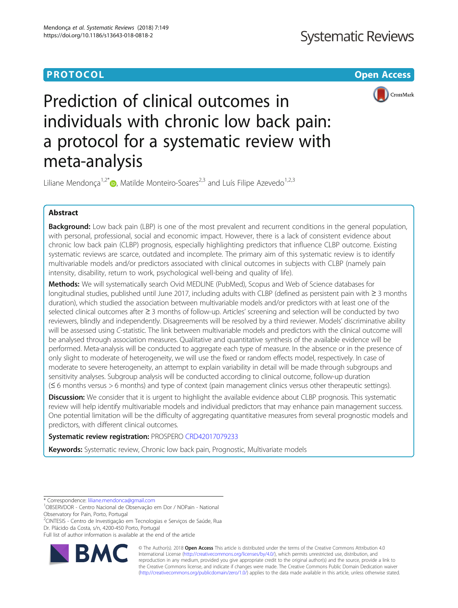# **PROTOCOL CONSUMING THE CONSUMING TEACHER CONSUMING THE CONSUMING TEACHER CONSUMING THE CONSUMING TEACHER CONSUMING**



Prediction of clinical outcomes in individuals with chronic low back pain: a protocol for a systematic review with meta-analysis

Liliane Mendonca<sup>1[,](http://orcid.org/0000-0003-1057-7893)2\*</sup> $\bullet$ , Matilde Monteiro-Soares<sup>2,3</sup> and Luís Filipe Azevedo<sup>1,2,3</sup>

## Abstract

Background: Low back pain (LBP) is one of the most prevalent and recurrent conditions in the general population, with personal, professional, social and economic impact. However, there is a lack of consistent evidence about chronic low back pain (CLBP) prognosis, especially highlighting predictors that influence CLBP outcome. Existing systematic reviews are scarce, outdated and incomplete. The primary aim of this systematic review is to identify multivariable models and/or predictors associated with clinical outcomes in subjects with CLBP (namely pain intensity, disability, return to work, psychological well-being and quality of life).

Methods: We will systematically search Ovid MEDLINE (PubMed), Scopus and Web of Science databases for longitudinal studies, published until June 2017, including adults with CLBP (defined as persistent pain with ≥ 3 months duration), which studied the association between multivariable models and/or predictors with at least one of the selected clinical outcomes after ≥ 3 months of follow-up. Articles' screening and selection will be conducted by two reviewers, blindly and independently. Disagreements will be resolved by a third reviewer. Models' discriminative ability will be assessed using C-statistic. The link between multivariable models and predictors with the clinical outcome will be analysed through association measures. Qualitative and quantitative synthesis of the available evidence will be performed. Meta-analysis will be conducted to aggregate each type of measure. In the absence or in the presence of only slight to moderate of heterogeneity, we will use the fixed or random effects model, respectively. In case of moderate to severe heterogeneity, an attempt to explain variability in detail will be made through subgroups and sensitivity analyses. Subgroup analysis will be conducted according to clinical outcome, follow-up duration (≤ 6 months versus > 6 months) and type of context (pain management clinics versus other therapeutic settings).

Discussion: We consider that it is urgent to highlight the available evidence about CLBP prognosis. This systematic review will help identify multivariable models and individual predictors that may enhance pain management success. One potential limitation will be the difficulty of aggregating quantitative measures from several prognostic models and predictors, with different clinical outcomes.

## Systematic review registration: PROSPERO [CRD42017079233](https://www.crd.york.ac.uk/PROSPERO/display_record.php?RecordID=79233)

Keywords: Systematic review, Chronic low back pain, Prognostic, Multivariate models

2 CINTESIS - Centro de Investigação em Tecnologias e Serviços de Saúde, Rua Dr. Plácido da Costa, s/n, 4200-450 Porto, Portugal

Full list of author information is available at the end of the article



© The Author(s). 2018 Open Access This article is distributed under the terms of the Creative Commons Attribution 4.0 International License [\(http://creativecommons.org/licenses/by/4.0/](http://creativecommons.org/licenses/by/4.0/)), which permits unrestricted use, distribution, and reproduction in any medium, provided you give appropriate credit to the original author(s) and the source, provide a link to the Creative Commons license, and indicate if changes were made. The Creative Commons Public Domain Dedication waiver [\(http://creativecommons.org/publicdomain/zero/1.0/](http://creativecommons.org/publicdomain/zero/1.0/)) applies to the data made available in this article, unless otherwise stated.

<sup>\*</sup> Correspondence: [liliane.mendonca@gmail.com](mailto:liliane.mendonca@gmail.com) <sup>1</sup>

OBSERVDOR - Centro Nacional de Observação em Dor / NOPain - National Observatory for Pain, Porto, Portugal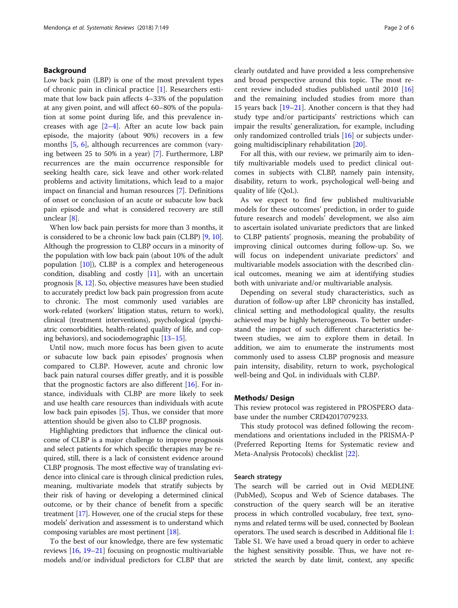## Background

Low back pain (LBP) is one of the most prevalent types of chronic pain in clinical practice [\[1](#page-4-0)]. Researchers estimate that low back pain affects 4–33% of the population at any given point, and will affect 60–80% of the population at some point during life, and this prevalence increases with age  $[2-4]$  $[2-4]$  $[2-4]$  $[2-4]$ . After an acute low back pain episode, the majority (about 90%) recovers in a few months [[5](#page-4-0), [6](#page-4-0)], although recurrences are common (varying between 25 to 50% in a year) [\[7\]](#page-4-0). Furthermore, LBP recurrences are the main occurrence responsible for seeking health care, sick leave and other work-related problems and activity limitations, which lead to a major impact on financial and human resources [\[7](#page-4-0)]. Definitions of onset or conclusion of an acute or subacute low back pain episode and what is considered recovery are still unclear [[8\]](#page-4-0).

When low back pain persists for more than 3 months, it is considered to be a chronic low back pain (CLBP) [\[9](#page-4-0), [10](#page-4-0)]. Although the progression to CLBP occurs in a minority of the population with low back pain (about 10% of the adult population  $[10]$ ), CLBP is a complex and heterogeneous condition, disabling and costly  $[11]$  $[11]$ , with an uncertain prognosis [[8,](#page-4-0) [12\]](#page-4-0). So, objective measures have been studied to accurately predict low back pain progression from acute to chronic. The most commonly used variables are work-related (workers' litigation status, return to work), clinical (treatment interventions), psychological (psychiatric comorbidities, health-related quality of life, and coping behaviors), and sociodemographic [[13](#page-5-0)–[15\]](#page-5-0).

Until now, much more focus has been given to acute or subacute low back pain episodes' prognosis when compared to CLBP. However, acute and chronic low back pain natural courses differ greatly, and it is possible that the prognostic factors are also different  $[16]$  $[16]$ . For instance, individuals with CLBP are more likely to seek and use health care resources than individuals with acute low back pain episodes [[5\]](#page-4-0). Thus, we consider that more attention should be given also to CLBP prognosis.

Highlighting predictors that influence the clinical outcome of CLBP is a major challenge to improve prognosis and select patients for which specific therapies may be required, still, there is a lack of consistent evidence around CLBP prognosis. The most effective way of translating evidence into clinical care is through clinical prediction rules, meaning, multivariate models that stratify subjects by their risk of having or developing a determined clinical outcome, or by their chance of benefit from a specific treatment [[17](#page-5-0)]. However, one of the crucial steps for these models' derivation and assessment is to understand which composing variables are most pertinent [\[18\]](#page-5-0).

To the best of our knowledge, there are few systematic reviews [\[16](#page-5-0), [19](#page-5-0)–[21\]](#page-5-0) focusing on prognostic multivariable models and/or individual predictors for CLBP that are clearly outdated and have provided a less comprehensive and broad perspective around this topic. The most recent review included studies published until 2010 [[16](#page-5-0)] and the remaining included studies from more than 15 years back [[19](#page-5-0)–[21](#page-5-0)]. Another concern is that they had study type and/or participants' restrictions which can impair the results' generalization, for example, including only randomized controlled trials [[16\]](#page-5-0) or subjects undergoing multidisciplinary rehabilitation [\[20\]](#page-5-0).

For all this, with our review, we primarily aim to identify multivariable models used to predict clinical outcomes in subjects with CLBP, namely pain intensity, disability, return to work, psychological well-being and quality of life (QoL).

As we expect to find few published multivariable models for these outcomes' prediction, in order to guide future research and models' development, we also aim to ascertain isolated univariate predictors that are linked to CLBP patients' prognosis, meaning the probability of improving clinical outcomes during follow-up. So, we will focus on independent univariate predictors' and multivariable models association with the described clinical outcomes, meaning we aim at identifying studies both with univariate and/or multivariable analysis.

Depending on several study characteristics, such as duration of follow-up after LBP chronicity has installed, clinical setting and methodological quality, the results achieved may be highly heterogeneous. To better understand the impact of such different characteristics between studies, we aim to explore them in detail. In addition, we aim to enumerate the instruments most commonly used to assess CLBP prognosis and measure pain intensity, disability, return to work, psychological well-being and QoL in individuals with CLBP.

### Methods/ Design

This review protocol was registered in PROSPERO database under the number CRD42017079233.

This study protocol was defined following the recommendations and orientations included in the PRISMA-P (Preferred Reporting Items for Systematic review and Meta-Analysis Protocols) checklist [\[22](#page-5-0)].

### Search strategy

The search will be carried out in Ovid MEDLINE (PubMed), Scopus and Web of Science databases. The construction of the query search will be an iterative process in which controlled vocabulary, free text, synonyms and related terms will be used, connected by Boolean operators. The used search is described in Additional file [1](#page-4-0): Table S1. We have used a broad query in order to achieve the highest sensitivity possible. Thus, we have not restricted the search by date limit, context, any specific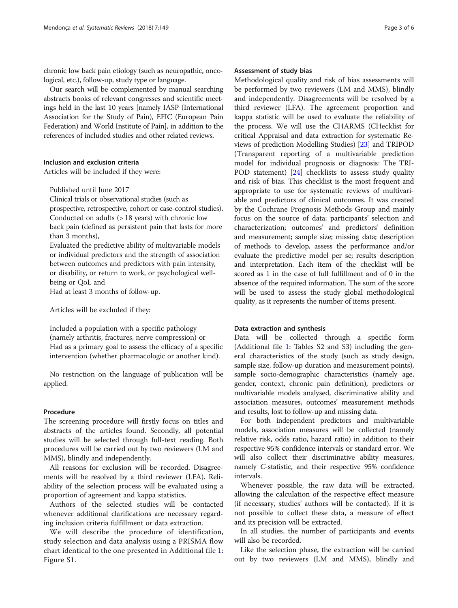chronic low back pain etiology (such as neuropathic, oncological, etc.), follow-up, study type or language.

Our search will be complemented by manual searching abstracts books of relevant congresses and scientific meetings held in the last 10 years [namely IASP (International Association for the Study of Pain), EFIC (European Pain Federation) and World Institute of Pain], in addition to the references of included studies and other related reviews.

## Inclusion and exclusion criteria

Articles will be included if they were:

Published until June 2017

Clinical trials or observational studies (such as prospective, retrospective, cohort or case-control studies), Conducted on adults (> 18 years) with chronic low back pain (defined as persistent pain that lasts for more than 3 months), Evaluated the predictive ability of multivariable models or individual predictors and the strength of association

between outcomes and predictors with pain intensity, or disability, or return to work, or psychological wellbeing or QoL and

Had at least 3 months of follow-up.

Articles will be excluded if they:

Included a population with a specific pathology (namely arthritis, fractures, nerve compression) or Had as a primary goal to assess the efficacy of a specific intervention (whether pharmacologic or another kind).

No restriction on the language of publication will be applied.

## Procedure

The screening procedure will firstly focus on titles and abstracts of the articles found. Secondly, all potential studies will be selected through full-text reading. Both procedures will be carried out by two reviewers (LM and MMS), blindly and independently.

All reasons for exclusion will be recorded. Disagreements will be resolved by a third reviewer (LFA). Reliability of the selection process will be evaluated using a proportion of agreement and kappa statistics.

Authors of the selected studies will be contacted whenever additional clarifications are necessary regarding inclusion criteria fulfillment or data extraction.

We will describe the procedure of identification, study selection and data analysis using a PRISMA flow chart identical to the one presented in Additional file [1](#page-4-0): Figure S1.

## Assessment of study bias

Methodological quality and risk of bias assessments will be performed by two reviewers (LM and MMS), blindly and independently. Disagreements will be resolved by a third reviewer (LFA). The agreement proportion and kappa statistic will be used to evaluate the reliability of the process. We will use the CHARMS (CHecklist for critical Appraisal and data extraction for systematic Reviews of prediction Modelling Studies) [[23](#page-5-0)] and TRIPOD (Transparent reporting of a multivariable prediction model for individual prognosis or diagnosis: The TRI-POD statement) [[24\]](#page-5-0) checklists to assess study quality and risk of bias. This checklist is the most frequent and appropriate to use for systematic reviews of multivariable and predictors of clinical outcomes. It was created by the Cochrane Prognosis Methods Group and mainly focus on the source of data; participants' selection and characterization; outcomes' and predictors' definition and measurement; sample size; missing data; description of methods to develop, assess the performance and/or evaluate the predictive model per se; results description and interpretation. Each item of the checklist will be scored as 1 in the case of full fulfillment and of 0 in the absence of the required information. The sum of the score will be used to assess the study global methodological quality, as it represents the number of items present.

#### Data extraction and synthesis

Data will be collected through a specific form (Additional file [1](#page-4-0): Tables S2 and S3) including the general characteristics of the study (such as study design, sample size, follow-up duration and measurement points), sample socio-demographic characteristics (namely age, gender, context, chronic pain definition), predictors or multivariable models analysed, discriminative ability and association measures, outcomes' measurement methods and results, lost to follow-up and missing data.

For both independent predictors and multivariable models, association measures will be collected (namely relative risk, odds ratio, hazard ratio) in addition to their respective 95% confidence intervals or standard error. We will also collect their discriminative ability measures, namely C-statistic, and their respective 95% confidence intervals.

Whenever possible, the raw data will be extracted, allowing the calculation of the respective effect measure (if necessary, studies' authors will be contacted). If it is not possible to collect these data, a measure of effect and its precision will be extracted.

In all studies, the number of participants and events will also be recorded.

Like the selection phase, the extraction will be carried out by two reviewers (LM and MMS), blindly and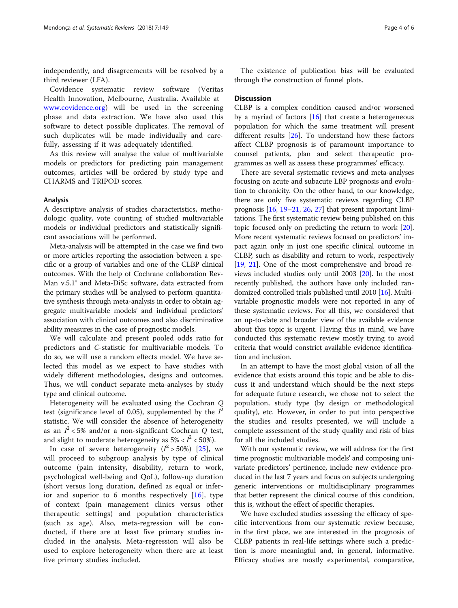independently, and disagreements will be resolved by a third reviewer (LFA).

Covidence systematic review software (Veritas Health Innovation, Melbourne, Australia. Available at [www.covidence.org\)](http://www.covidence.org) will be used in the screening phase and data extraction. We have also used this software to detect possible duplicates. The removal of such duplicates will be made individually and carefully, assessing if it was adequately identified.

As this review will analyse the value of multivariable models or predictors for predicting pain management outcomes, articles will be ordered by study type and CHARMS and TRIPOD scores.

## Analysis

A descriptive analysis of studies characteristics, methodologic quality, vote counting of studied multivariable models or individual predictors and statistically significant associations will be performed.

Meta-analysis will be attempted in the case we find two or more articles reporting the association between a specific or a group of variables and one of the CLBP clinical outcomes. With the help of Cochrane collaboration Rev-Man v.5.1® and Meta-DiSc software, data extracted from the primary studies will be analysed to perform quantitative synthesis through meta-analysis in order to obtain aggregate multivariable models' and individual predictors' association with clinical outcomes and also discriminative ability measures in the case of prognostic models.

We will calculate and present pooled odds ratio for predictors and C-statistic for multivariable models. To do so, we will use a random effects model. We have selected this model as we expect to have studies with widely different methodologies, designs and outcomes. Thus, we will conduct separate meta-analyses by study type and clinical outcome.

Heterogeneity will be evaluated using the Cochran Q test (significance level of 0.05), supplemented by the  $I^2$ statistic. We will consider the absence of heterogeneity as an  $I^2$  < 5% and/or a non-significant Cochran Q test, and slight to moderate heterogeneity as  $5\% < I^2 < 50\%$ ).

In case of severe heterogeneity  $(I^2 > 50\%)$  [[25](#page-5-0)], we will proceed to subgroup analysis by type of clinical outcome (pain intensity, disability, return to work, psychological well-being and QoL), follow-up duration (short versus long duration, defined as equal or inferior and superior to 6 months respectively [\[16](#page-5-0)], type of context (pain management clinics versus other therapeutic settings) and population characteristics (such as age). Also, meta-regression will be conducted, if there are at least five primary studies included in the analysis. Meta-regression will also be used to explore heterogeneity when there are at least five primary studies included.

The existence of publication bias will be evaluated through the construction of funnel plots.

## **Discussion**

CLBP is a complex condition caused and/or worsened by a myriad of factors  $[16]$  $[16]$  $[16]$  that create a heterogeneous population for which the same treatment will present different results [\[26\]](#page-5-0). To understand how these factors affect CLBP prognosis is of paramount importance to counsel patients, plan and select therapeutic programmes as well as assess these programmes' efficacy.

There are several systematic reviews and meta-analyses focusing on acute and subacute LBP prognosis and evolution to chronicity. On the other hand, to our knowledge, there are only five systematic reviews regarding CLBP prognosis [\[16](#page-5-0), [19](#page-5-0)–[21](#page-5-0), [26](#page-5-0), [27\]](#page-5-0) that present important limitations. The first systematic review being published on this topic focused only on predicting the return to work [[20](#page-5-0)]. More recent systematic reviews focused on predictors' impact again only in just one specific clinical outcome in CLBP, such as disability and return to work, respectively [[19](#page-5-0), [21](#page-5-0)]. One of the most comprehensive and broad reviews included studies only until 2003 [[20](#page-5-0)]. In the most recently published, the authors have only included randomized controlled trials published until 2010 [\[16\]](#page-5-0). Multivariable prognostic models were not reported in any of these systematic reviews. For all this, we considered that an up-to-date and broader view of the available evidence about this topic is urgent. Having this in mind, we have conducted this systematic review mostly trying to avoid criteria that would constrict available evidence identification and inclusion.

In an attempt to have the most global vision of all the evidence that exists around this topic and be able to discuss it and understand which should be the next steps for adequate future research, we chose not to select the population, study type (by design or methodological quality), etc. However, in order to put into perspective the studies and results presented, we will include a complete assessment of the study quality and risk of bias for all the included studies.

With our systematic review, we will address for the first time prognostic multivariable models' and composing univariate predictors' pertinence, include new evidence produced in the last 7 years and focus on subjects undergoing generic interventions or multidisciplinary programmes that better represent the clinical course of this condition, this is, without the effect of specific therapies.

We have excluded studies assessing the efficacy of specific interventions from our systematic review because, in the first place, we are interested in the prognosis of CLBP patients in real-life settings where such a prediction is more meaningful and, in general, informative. Efficacy studies are mostly experimental, comparative,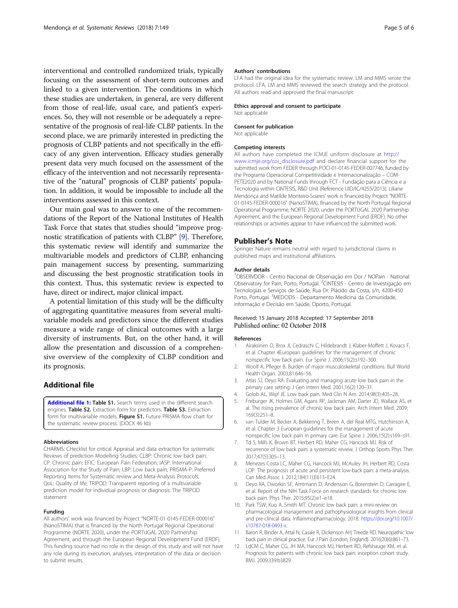<span id="page-4-0"></span>interventional and controlled randomized trials, typically focusing on the assessment of short-term outcomes and linked to a given intervention. The conditions in which these studies are undertaken, in general, are very different from those of real-life, usual care, and patient's experiences. So, they will not resemble or be adequately a representative of the prognosis of real-life CLBP patients. In the second place, we are primarily interested in predicting the prognosis of CLBP patients and not specifically in the efficacy of any given intervention. Efficacy studies generally present data very much focused on the assessment of the efficacy of the intervention and not necessarily representative of the "natural" prognosis of CLBP patients' population. In addition, it would be impossible to include all the interventions assessed in this context.

Our main goal was to answer to one of the recommendations of the Report of the National Institutes of Health Task Force that states that studies should "improve prognostic stratification of patients with CLBP" [9]. Therefore, this systematic review will identify and summarize the multivariable models and predictors of CLBP, enhancing pain management success by presenting, summarizing and discussing the best prognostic stratification tools in this context. Thus, this systematic review is expected to have, direct or indirect, major clinical impact.

A potential limitation of this study will be the difficulty of aggregating quantitative measures from several multivariable models and predictors since the different studies measure a wide range of clinical outcomes with a large diversity of instruments. But, on the other hand, it will allow the presentation and discussion of a comprehensive overview of the complexity of CLBP condition and its prognosis.

## Additional file

[Additional file 1:](https://doi.org/10.1186/s13643-018-0818-2) Table S1. Search terms used in the different search engines. Table S2. Extraction form for predictors. Table S3. Extraction form for multivariable models. Figure S1. Future PRISMA flow chart for the systematic review process. (DOCX 46 kb)

#### Abbreviations

CHARMS: CHecklist for critical Appraisal and data extraction for systematic Reviews of prediction Modelling Studies; CLBP: Chronic low back pain; CP: Chronic pain; EFIC: European Pain Federation; IASP: International Association for the Study of Pain; LBP: Low back pain; PRISMA-P: Preferred Reporting Items for Systematic review and Meta-Analysis Protocols; QoL: Quality of life; TRIPOD: Transparent reporting of a multivariable prediction model for individual prognosis or diagnosis: The TRIPOD statement

#### Funding

All authors' work was financed by Project "NORTE-01-0145-FEDER-000016" (NanoSTIMA) that is financed by the North Portugal Regional Operational Programme (NORTE 2020), under the PORTUGAL 2020 Partnership Agreement, and through the European Regional Development Fund (ERDF). This funding source had no role in the design of this study and will not have any role during its execution, analyses, interpretation of the data or decision to submit results.

#### Authors' contributions

LFA had the original idea for the systematic review. LM and MMS wrote the protocol. LFA, LM and MMS reviewed the search strategy and the protocol. All authors read and approved the final manuscript.

#### Ethics approval and consent to participate Not applicable

## Consent for publication

Not applicable

## Competing interests

All authors have completed the ICMJE uniform disclosure at [http://](http://www.icmje.org/coi_disclosure.pdf) [www.icmje.org/coi\\_disclosure.pdf](http://www.icmje.org/coi_disclosure.pdf) and declare financial support for the submitted work from FEDER through POCI-01-0145-FEDER-007746, funded by the Programa Operacional Competitividade e Internacionalização – COM-PETE2020 and by National Funds through FCT - Fundação para a Ciência e a Tecnologia within CINTESIS, R&D Unit (Reference UID/IC/4255/2013). Liliane Mendonça and Matilde Monteiro-Soares' work is financed by Project "NORTE-01-0145-FEDER-000016" (NanoSTIMA), financed by the North Portugal Regional Operational Programme, NORTE 2020, under the PORTUGAL 2020 Partnership Agreement, and the European Regional Development Fund (ERDF). No other relationships or activities appear to have influenced the submitted work.

#### Publisher's Note

Springer Nature remains neutral with regard to jurisdictional claims in published maps and institutional affiliations.

#### Author details

1 OBSERVDOR - Centro Nacional de Observação em Dor / NOPain - National Observatory for Pain, Porto, Portugal. <sup>2</sup>CINTESIS - Centro de Investigação em Tecnologias e Serviços de Saúde, Rua Dr. Plácido da Costa, s/n, 4200-450 Porto, Portugal. <sup>3</sup>MEDCIDS - Departamento Medicina da Comunidade Informação e Decisão em Saúde, Oporto, Portugal.

## Received: 15 January 2018 Accepted: 17 September 2018 Published online: 02 October 2018

#### References

- 1. Airaksinen O, Brox JI, Cedraschi C, Hildebrandt J, Klaber-Moffett J, Kovacs F, et al. Chapter 4European guidelines for the management of chronic nonspecific low back pain. Eur Spine J. 2006;15(2):s192–300.
- 2. Woolf A, Pfleger B. Burden of major musculoskeletal conditions. Bull World Health Organ. 2003;81:646–56.
- 3. Atlas SJ, Deyo RA. Evaluating and managing acute low back pain in the
- primary care setting. J Gen Intern Med. 2001;16(2):120–31. 4. Golob AL, Wipf JE. Low back pain. Med Clin N Am. 2014;98(3):405–28.
- 5. Freburger JK, Holmes GM, Agans RP, Jackman AM, Darter JD, Wallace AS, et
- al. The rising prevalence of chronic low back pain. Arch Intern Med. 2009; 169(3):251–8.
- 6. van Tulder M, Becker A, Bekkering T, Breen A, del Real MTG, Hutchinson A, et al. Chapter 3 European guidelines for the management of acute nonspecific low back pain in primary care. Eur Spine J. 2006;15(2):s169–s91.
- 7. Td S, Mills K, Brown BT, Herbert RD, Maher CG, Hancock MJ. Risk of recurrence of low back pain: a systematic review. J Orthop Sports Phys Ther. 2017;47(5):305–13.
- 8. Menezes Costa LC, Maher CG, Hancock MJ, McAuley JH, Herbert RD, Costa LOP. The prognosis of acute and persistent low-back pain: a meta-analysis. Can Med Assoc J. 2012;184(11):E613–E24.
- 9. Deyo RA, Dworkin SF, Amtmann D, Andersson G, Borenstein D, Carragee E, et al. Report of the NIH Task Force on research standards for chronic low back pain. Phys Ther. 2015;95(2):e1–e18.
- 10. Park TSW, Kuo A, Smith MT. Chronic low back pain: a mini-review on pharmacological management and pathophysiological insights from clinical and pre-clinical data. Inflammopharmacology. 2018. [https://doi.org/10.1007/](https://doi.org/10.1007/s10787-018-0493-x) [s10787-018-0493-x.](https://doi.org/10.1007/s10787-018-0493-x)
- 11. Baron R, Binder A, Attal N, Casale R, Dickenson AH, Treede RD. Neuropathic low back pain in clinical practice. Eur J Pain (London, England). 2016;20(6):861–73.
- 12. LdCM C, Maher CG, JH MA, Hancock MJ, Herbert RD, Refshauge KM, et al. Prognosis for patients with chronic low back pain: inception cohort study. BMJ. 2009;339:b3829.